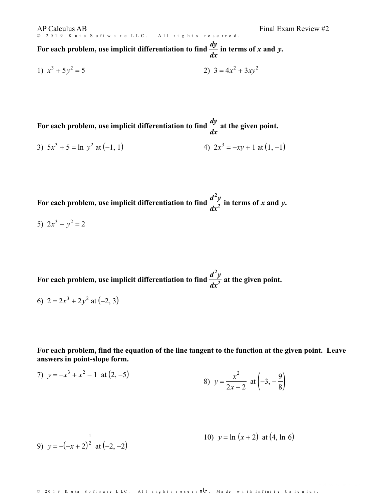AP Calculus AB Final Exam Review #2

For each problem, use implicit differentiation to find  $\frac{dy}{dx}$  in terms of x and y. *dx* **in terms of***x* **and** *y***.**

1) 
$$
x^3 + 5y^2 = 5
$$
  
2)  $3 = 4x^2 + 3xy^2$ 

© 2019 Kuta Software LLC. All rights reserved.

For each problem, use implicit differentiation to find  $\frac{dy}{dx}$  at the given point. *dx* **at the given point.**

3) 
$$
5x^3 + 5 = \ln y^2
$$
 at  $(-1, 1)$   
4)  $2x^3 = -xy + 1$  at  $(1, -1)$ 

For each problem, use implicit differentiation to find  $\frac{d^2y}{dx^2}$  in terms of x and y.  $\frac{d^2y}{dx^2}$  in terms of *x* and *y*.

5)  $2x^3 - y^2 = 2$ 

For each problem, use implicit differentiation to find  $\frac{d^2y}{dx^2}$  at the given point.  $\frac{d^2y}{dx^2}$  at the given point.

6)  $2 = 2x^3 + 2y^2$  at  $(-2, 3)$ 

**For each problem, find the equation of the line tangent to the function at the given point. Leave answers in point-slope form.**

7) 
$$
y = -x^3 + x^2 - 1
$$
 at  $(2, -5)$   
8)  $y = \frac{x^2}{2x - 2}$  at  $(-3, -\frac{9}{8})$ 

9) 
$$
y = -(-x+2)^{\frac{1}{2}}
$$
 at (-2, -2)

© 2019 Kuta Software LLC. All rights reserv**el:** Made with Infinite Calculus.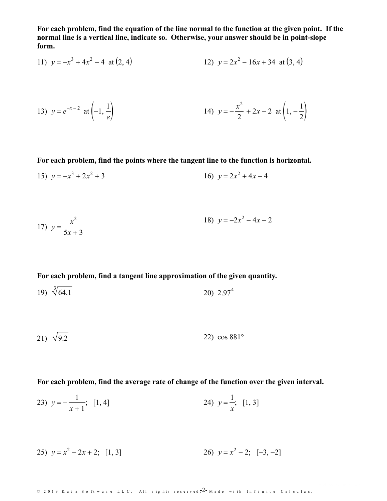For each problem, find the equation of the line normal to the function at the given point. If the **normal line is a vertical line, indicate so. Otherwise, your answer should be in point-slope form.**

11) 
$$
y = -x^3 + 4x^2 - 4
$$
 at (2, 4)   
12)  $y = 2x^2 - 16x + 34$  at (3, 4)

13) 
$$
y = e^{-x-2}
$$
 at  $\left(-1, \frac{1}{e}\right)$   
14)  $y = -\frac{x^2}{2} + 2x - 2$  at  $\left(1, -\frac{1}{2}\right)$ 

**For each problem, find the points where the tangent line to the function is horizontal.**

15)  $y = -x^3 + 2x^2 + 3$  $2^2 + 3$  16)  $y = 2x^2 + 4x - 4$ 

17) 
$$
y = \frac{x^2}{5x+3}
$$
  
18)  $y = -2x^2 - 4x - 2$ 

**For each problem, find a tangentline approximation of the given quantity.**

19)  $\sqrt[3]{64.1}$ 20)  $2.97<sup>4</sup>$ 4

$$
21) \sqrt{9.2} \qquad \qquad 22) \cos 881^{\circ}
$$

**For each problem, find the average rate of change of the function over the given interval.**

23) 
$$
y = -\frac{1}{x+1}
$$
; [1, 4]   
24)  $y = \frac{1}{x}$ ; [1, 3]

25) 
$$
y = x^2 - 2x + 2
$$
; [1, 3]   
26)  $y = x^2 - 2$ ; [-3, -2]

© 2019 Kuta Software LLC. All rights reserved 2– Made with Infinite Calculus.